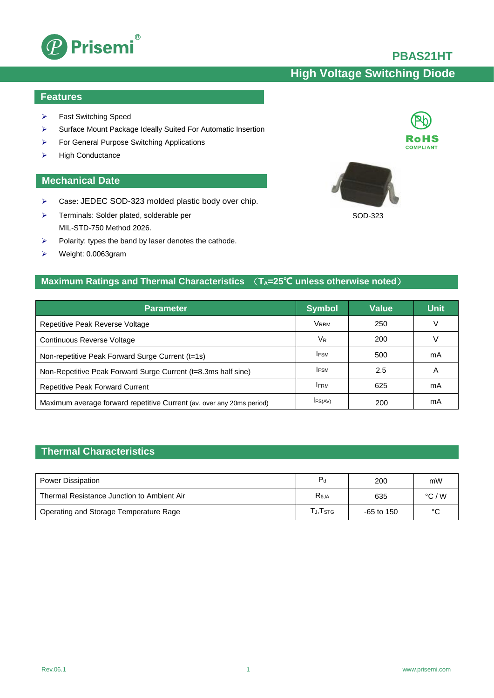

## **PBAS21HT**

# **High Voltage Switching Diode**

SOD-323

#### **Features**

- Fast Switching Speed
- Surface Mount Package Ideally Suited For Automatic Insertion
- For General Purpose Switching Applications
- $\triangleright$  High Conductance

#### **Mechanical Date**

- > Case: JEDEC SOD-323 molded plastic body over chip.
- > Terminals: Solder plated, solderable per MIL-STD-750 Method 2026.
- $\triangleright$  Polarity: types the band by laser denotes the cathode.
- Weight: 0.0063gram

## **Maximum Ratings and Thermal Characteristics**  $(T_A=25^{\circ}C \text{ unless otherwise noted})$

| <b>Parameter</b>                                                      | <b>Symbol</b>        | <b>Value</b> | <b>Unit</b> |
|-----------------------------------------------------------------------|----------------------|--------------|-------------|
| Repetitive Peak Reverse Voltage                                       | <b>VRRM</b>          | 250          | ν           |
| Continuous Reverse Voltage                                            | <b>V<sub>R</sub></b> | 200          |             |
| Non-repetitive Peak Forward Surge Current (t=1s)                      | <b>IFSM</b>          | 500          | mA          |
| Non-Repetitive Peak Forward Surge Current (t=8.3ms half sine)         | <b>IFSM</b>          | 2.5          | Α           |
| Repetitive Peak Forward Current                                       | <b>IFRM</b>          | 625          | mA          |
| Maximum average forward repetitive Current (av. over any 20ms period) | IFS(AV)              | 200          | mA          |

### **Thermal Characteristics**

| Power Dissipation                          | $P_{\rm d}$                                                       | 200          | mW              |
|--------------------------------------------|-------------------------------------------------------------------|--------------|-----------------|
| Thermal Resistance Junction to Ambient Air | $R_{0,IA}$                                                        | 635          | $\degree$ C / W |
| Operating and Storage Temperature Rage     | $\mathsf{\Gamma}_{\mathsf{J}}$ , $\mathsf{\Gamma}_{\mathsf{STG}}$ | $-65$ to 150 | $\sim$          |

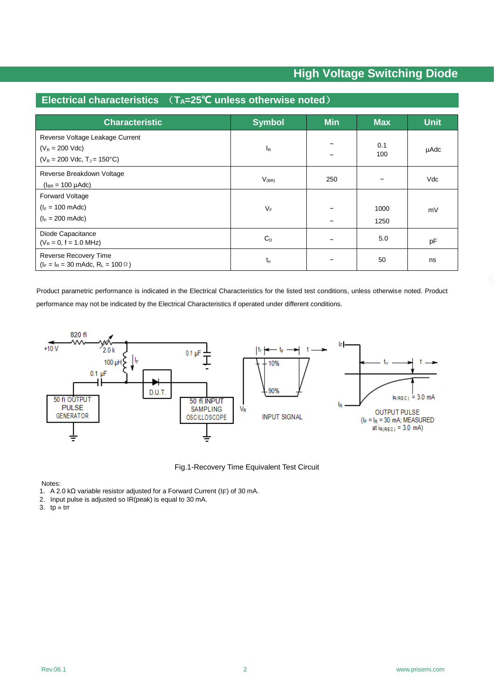## **Electrical characteristics** (**TA=25℃ unless otherwise noted**)

| <b>Characteristic</b>                                                                     | <b>Symbol</b> | <b>Min</b> | <b>Max</b>   | <b>Unit</b> |
|-------------------------------------------------------------------------------------------|---------------|------------|--------------|-------------|
| Reverse Voltage Leakage Current<br>$(V_R = 200$ Vdc)<br>$(V_R = 200$ Vdc, $T_J = 150$ °C) | $I_R$         |            | 0.1<br>100   | µAdc        |
| Reverse Breakdown Voltage<br>$(I_{BR} = 100 \mu A d c)$                                   | $V_{(BR)}$    | 250        |              | Vdc         |
| <b>Forward Voltage</b><br>$(I_F = 100 \text{ m}$ Adc)<br>$(I_F = 200 \text{ m}$ Adc)      | $V_F$         |            | 1000<br>1250 | mV          |
| Diode Capacitance<br>$(V_R = 0, f = 1.0 MHz)$                                             | $C_D$         |            | 5.0          | pF          |
| Reverse Recovery Time<br>$(I_F = I_R = 30 \text{ m}$ Adc, R <sub>L</sub> = 100 Ω)         | $t_{rr}$      |            | 50           | ns          |

Product parametric performance is indicated in the Electrical Characteristics for the listed test conditions, unless otherwise noted. Product performance may not be indicated by the Electrical Characteristics if operated under different conditions.



Fig.1-Recovery Time Equivalent Test Circuit

Notes:

1. A 2.0 kΩ variable resistor adjusted for a Forward Current (IF) of 30 mA.

2. Input pulse is adjusted so IR(peak) is equal to 30 mA.

3. tp » trr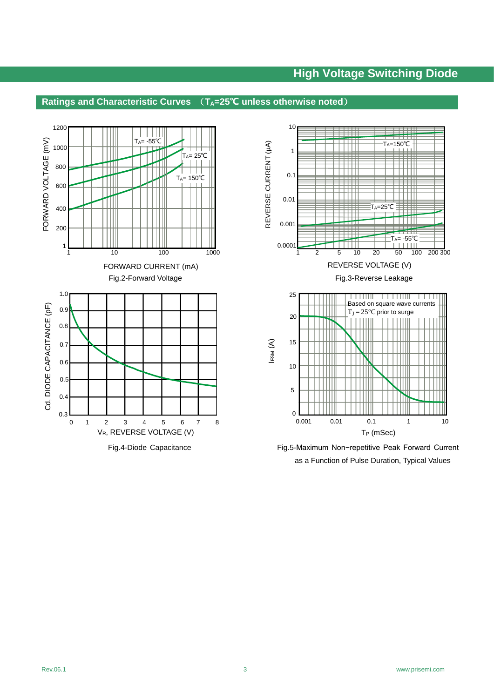#### **Ratings and Characteristic Curves** (**TA=25℃ unless otherwise noted**)





Fig.4-Diode Capacitance Fig.5-Maximum Non-repetitive Peak Forward Current as a Function of Pulse Duration, Typical Values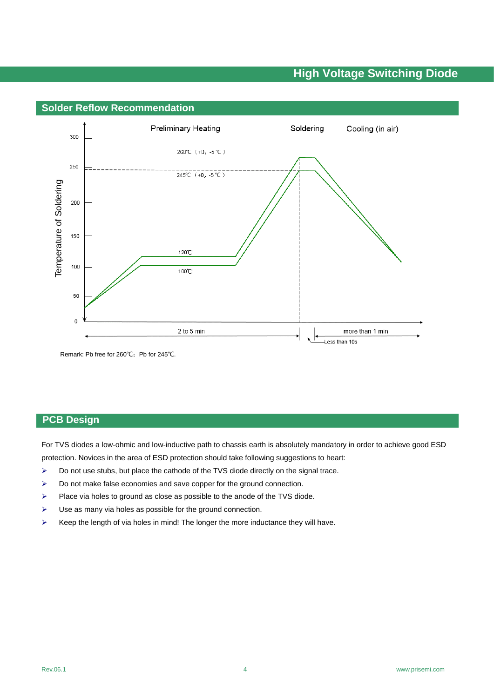

Remark: Pb free for 260℃; Pb for 245℃.

For TVS diodes a low-ohmic and low-inductive path to chassis earth is absolutely mandatory in order to achieve good ESD protection. Novices in the area of ESD protection should take following suggestions to heart:

- $\triangleright$  Do not use stubs, but place the cathode of the TVS diode directly on the signal trace.
- $\triangleright$  Do not make false economies and save copper for the ground connection.
- $\triangleright$  Place via holes to ground as close as possible to the anode of the TVS diode.
- $\triangleright$  Use as many via holes as possible for the ground connection.
- $\triangleright$  Keep the length of via holes in mind! The longer the more inductance they will have.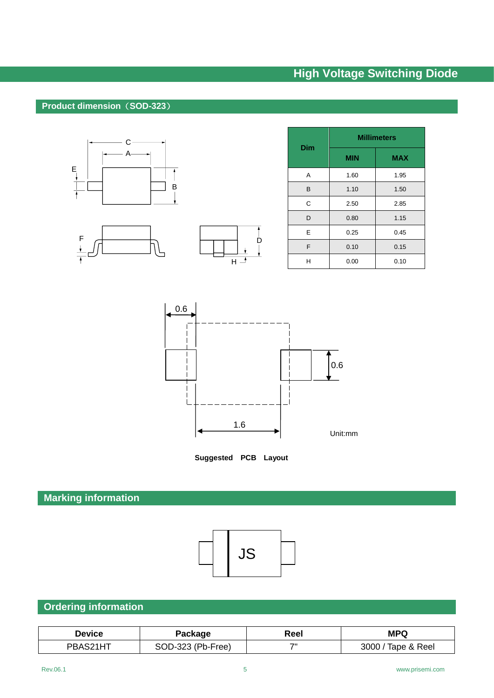#### **Product dimension**(**SOD-323**)





| <b>Dim</b> | <b>Millimeters</b> |            |  |
|------------|--------------------|------------|--|
|            | <b>MIN</b>         | <b>MAX</b> |  |
| A          | 1.60               | 1.95       |  |
| B          | 1.10               | 1.50       |  |
| C          | 2.50               | 2.85       |  |
| D          | 0.80               | 1.15       |  |
| E          | 0.25               | 0.45       |  |
| F          | 0.10               | 0.15       |  |
| н          | 0.00               | 0.10       |  |



 $\dot{\mathsf{D}}$ 

**Suggested PCB Layout** 

# **Marking information**



# **Ordering information**

| <b>Device</b> | Package           | Reel | <b>MPQ</b>         |
|---------------|-------------------|------|--------------------|
| PBAS21HT      | SOD-323 (Pb-Free) | ᄁ    | 3000 / Tape & Reel |